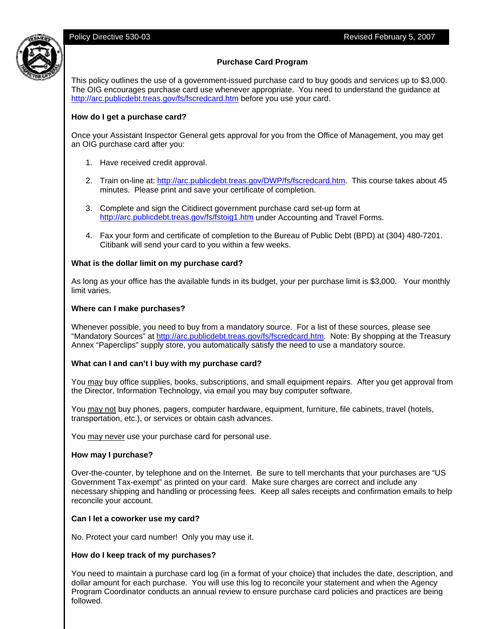

# **Purchase Card Program**

This policy outlines the use of a government-issued purchase card to buy goods and services up to \$3,000. The OIG encourages purchase card use whenever appropriate. You need to understand the guidance at http://arc.publicdebt.treas.gov/fs/fscredcard.htm before you use your card.

### **How do I get a purchase card?**

Once your Assistant Inspector General gets approval for you from the Office of Management, you may get an OIG purchase card after you:

- 1. Have received credit approval.
- 2. Train on-line at: http://arc.publicdebt.treas.gov/DWP/fs/fscredcard.htm. This course takes about 45 minutes. Please print and save your certificate of completion.
- 3. Complete and sign the Citidirect government purchase card set-up form at http://arc.publicdebt.treas.gov/fs/fstoig1.htm under Accounting and Travel Forms.
- 4. Fax your form and certificate of completion to the Bureau of Public Debt (BPD) at (304) 480-7201. Citibank will send your card to you within a few weeks.

### **What is the dollar limit on my purchase card?**

As long as your office has the available funds in its budget, your per purchase limit is \$3,000. Your monthly limit varies.

### **Where can I make purchases?**

Whenever possible, you need to buy from a mandatory source. For a list of these sources, please see "Mandatory Sources" at http://arc.publicdebt.treas.gov/fs/fscredcard.htm. Note: By shopping at the Treasury Annex "Paperclips" supply store, you automatically satisfy the need to use a mandatory source.

### **What can I and can't I buy with my purchase card?**

You may buy office supplies, books, subscriptions, and small equipment repairs. After you get approval from the Director, Information Technology, via email you may buy computer software.

You may not buy phones, pagers, computer hardware, equipment, furniture, file cabinets, travel (hotels, transportation, etc.), or services or obtain cash advances.

You may never use your purchase card for personal use.

### **How may I purchase?**

Over-the-counter, by telephone and on the Internet. Be sure to tell merchants that your purchases are "US Government Tax-exempt" as printed on your card. Make sure charges are correct and include any necessary shipping and handling or processing fees. Keep all sales receipts and confirmation emails to help reconcile your account.

### **Can I let a coworker use my card?**

No. Protect your card number! Only you may use it.

### **How do I keep track of my purchases?**

You need to maintain a purchase card log (in a format of your choice) that includes the date, description, and dollar amount for each purchase. You will use this log to reconcile your statement and when the Agency Program Coordinator conducts an annual review to ensure purchase card policies and practices are being followed.